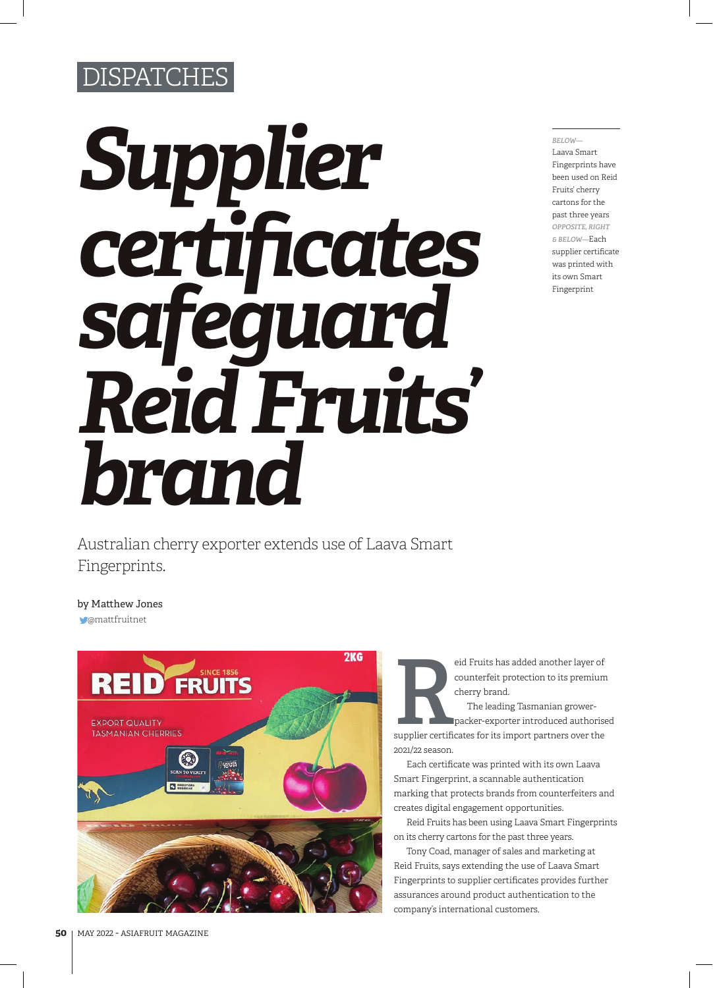## **SPATCHES**

## *Supplier certificates safeguard Reid Fruits' brand*

*BELOW—* Laava Smart Fingerprints have been used on Reid Fruits' cherry cartons for the past three years *OPPOSITE, RIGHT & BELOW—*Each supplier certificate was printed with its own Smart Fingerprint

Australian cherry exporter extends use of Laava Smart Fingerprints.

@mattfruitnet by Matthew Jones



counterfeit protection to its premium cherry brand.

eid Fruits has added another layer of<br>
counterfeit protection to its premium<br>
cherry brand.<br>
The leading Tasmanian grower-<br>
packer-exporter introduced authorise<br>
supplier certificates for its import partners over the The leading Tasmanian growerpacker-exporter introduced authorised 2021/22 season.

Each certificate was printed with its own Laava Smart Fingerprint, a scannable authentication marking that protects brands from counterfeiters and creates digital engagement opportunities.

Reid Fruits has been using Laava Smart Fingerprints on its cherry cartons for the past three years.

Tony Coad, manager of sales and marketing at Reid Fruits, says extending the use of Laava Smart Fingerprints to supplier certificates provides further assurances around product authentication to the company's international customers.